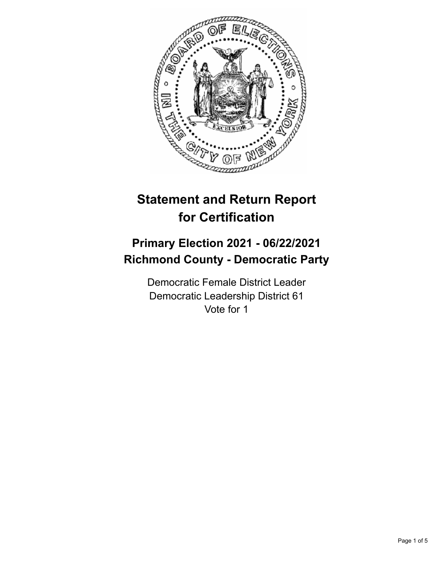

# **Statement and Return Report for Certification**

## **Primary Election 2021 - 06/22/2021 Richmond County - Democratic Party**

Democratic Female District Leader Democratic Leadership District 61 Vote for 1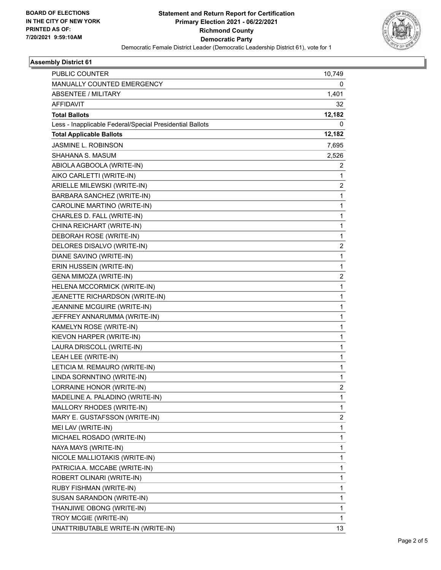

#### **Assembly District 61**

| <b>PUBLIC COUNTER</b>                                    | 10,749         |
|----------------------------------------------------------|----------------|
| MANUALLY COUNTED EMERGENCY                               | 0              |
| <b>ABSENTEE / MILITARY</b>                               | 1,401          |
| <b>AFFIDAVIT</b>                                         | 32             |
| <b>Total Ballots</b>                                     | 12,182         |
| Less - Inapplicable Federal/Special Presidential Ballots | 0              |
| <b>Total Applicable Ballots</b>                          | 12,182         |
| JASMINE L. ROBINSON                                      | 7,695          |
| SHAHANA S. MASUM                                         | 2,526          |
| ABIOLA AGBOOLA (WRITE-IN)                                | 2              |
| AIKO CARLETTI (WRITE-IN)                                 | 1              |
| ARIELLE MILEWSKI (WRITE-IN)                              | 2              |
| BARBARA SANCHEZ (WRITE-IN)                               | 1              |
| CAROLINE MARTINO (WRITE-IN)                              | 1              |
| CHARLES D. FALL (WRITE-IN)                               | 1              |
| CHINA REICHART (WRITE-IN)                                | 1              |
| DEBORAH ROSE (WRITE-IN)                                  | 1              |
| DELORES DISALVO (WRITE-IN)                               | 2              |
| DIANE SAVINO (WRITE-IN)                                  | 1              |
| ERIN HUSSEIN (WRITE-IN)                                  | 1              |
| <b>GENA MIMOZA (WRITE-IN)</b>                            | 2              |
| HELENA MCCORMICK (WRITE-IN)                              | 1              |
| JEANETTE RICHARDSON (WRITE-IN)                           | 1              |
| JEANNINE MCGUIRE (WRITE-IN)                              | 1              |
| JEFFREY ANNARUMMA (WRITE-IN)                             | 1              |
| KAMELYN ROSE (WRITE-IN)                                  | 1              |
| KIEVON HARPER (WRITE-IN)                                 | 1              |
| LAURA DRISCOLL (WRITE-IN)                                | 1              |
| LEAH LEE (WRITE-IN)                                      | 1              |
| LETICIA M. REMAURO (WRITE-IN)                            | 1              |
| LINDA SORNNTINO (WRITE-IN)                               | 1              |
| LORRAINE HONOR (WRITE-IN)                                | $\overline{2}$ |
| MADELINE A. PALADINO (WRITE-IN)                          | 1              |
| MALLORY RHODES (WRITE-IN)                                | 1              |
| MARY E. GUSTAFSSON (WRITE-IN)                            | 2              |
| MEI LAV (WRITE-IN)                                       | 1              |
| MICHAEL ROSADO (WRITE-IN)                                | 1              |
| NAYA MAYS (WRITE-IN)                                     | 1              |
| NICOLE MALLIOTAKIS (WRITE-IN)                            | 1              |
| PATRICIA A. MCCABE (WRITE-IN)                            | 1              |
| ROBERT OLINARI (WRITE-IN)                                | 1              |
| RUBY FISHMAN (WRITE-IN)                                  | 1              |
| SUSAN SARANDON (WRITE-IN)                                | 1              |
| THANJIWE OBONG (WRITE-IN)                                | 1              |
| TROY MCGIE (WRITE-IN)                                    | 1              |
| UNATTRIBUTABLE WRITE-IN (WRITE-IN)                       | 13             |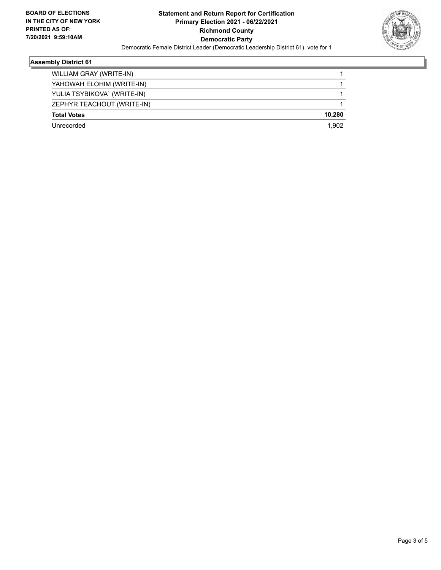

#### **Assembly District 61**

| WILLIAM GRAY (WRITE-IN)     |        |
|-----------------------------|--------|
|                             |        |
| YAHOWAH ELOHIM (WRITE-IN)   |        |
| YULIA TSYBIKOVA` (WRITE-IN) |        |
| ZEPHYR TEACHOUT (WRITE-IN)  |        |
| <b>Total Votes</b>          | 10,280 |
| Unrecorded                  | 1.902  |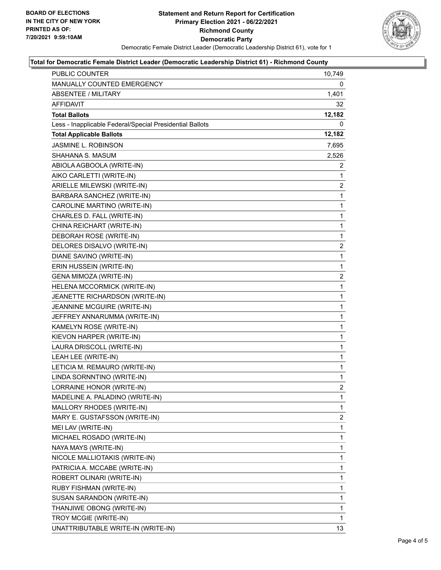

#### **Total for Democratic Female District Leader (Democratic Leadership District 61) - Richmond County**

| PUBLIC COUNTER                                           | 10,749         |
|----------------------------------------------------------|----------------|
| MANUALLY COUNTED EMERGENCY                               | 0              |
| <b>ABSENTEE / MILITARY</b>                               | 1,401          |
| <b>AFFIDAVIT</b>                                         | 32             |
| <b>Total Ballots</b>                                     | 12,182         |
| Less - Inapplicable Federal/Special Presidential Ballots | 0              |
| <b>Total Applicable Ballots</b>                          | 12,182         |
| <b>JASMINE L. ROBINSON</b>                               | 7,695          |
| SHAHANA S. MASUM                                         | 2,526          |
| ABIOLA AGBOOLA (WRITE-IN)                                | 2              |
| AIKO CARLETTI (WRITE-IN)                                 | 1              |
| ARIELLE MILEWSKI (WRITE-IN)                              | $\overline{2}$ |
| BARBARA SANCHEZ (WRITE-IN)                               | 1              |
| CAROLINE MARTINO (WRITE-IN)                              | 1              |
| CHARLES D. FALL (WRITE-IN)                               | $\mathbf{1}$   |
| CHINA REICHART (WRITE-IN)                                | $\mathbf{1}$   |
| DEBORAH ROSE (WRITE-IN)                                  | 1              |
| DELORES DISALVO (WRITE-IN)                               | $\overline{c}$ |
| DIANE SAVINO (WRITE-IN)                                  | 1              |
| ERIN HUSSEIN (WRITE-IN)                                  | 1              |
| GENA MIMOZA (WRITE-IN)                                   | $\overline{2}$ |
| HELENA MCCORMICK (WRITE-IN)                              | 1              |
| JEANETTE RICHARDSON (WRITE-IN)                           | 1              |
| JEANNINE MCGUIRE (WRITE-IN)                              | 1              |
| JEFFREY ANNARUMMA (WRITE-IN)                             | 1              |
| KAMELYN ROSE (WRITE-IN)                                  | 1              |
| KIEVON HARPER (WRITE-IN)                                 | $\mathbf{1}$   |
| LAURA DRISCOLL (WRITE-IN)                                | 1              |
| LEAH LEE (WRITE-IN)                                      | 1              |
| LETICIA M. REMAURO (WRITE-IN)                            | $\mathbf{1}$   |
| LINDA SORNNTINO (WRITE-IN)                               | 1              |
| LORRAINE HONOR (WRITE-IN)                                | 2              |
| MADELINE A. PALADINO (WRITE-IN)                          | 1              |
| MALLORY RHODES (WRITE-IN)                                | 1              |
| MARY E. GUSTAFSSON (WRITE-IN)                            | 2              |
| MEI LAV (WRITE-IN)                                       | 1              |
| MICHAEL ROSADO (WRITE-IN)                                | 1              |
| NAYA MAYS (WRITE-IN)                                     | 1              |
| NICOLE MALLIOTAKIS (WRITE-IN)                            | 1              |
| PATRICIA A. MCCABE (WRITE-IN)                            | 1              |
| ROBERT OLINARI (WRITE-IN)                                | 1              |
| RUBY FISHMAN (WRITE-IN)                                  | 1              |
| SUSAN SARANDON (WRITE-IN)                                | 1              |
| THANJIWE OBONG (WRITE-IN)                                | 1              |
| TROY MCGIE (WRITE-IN)                                    | 1              |
| UNATTRIBUTABLE WRITE-IN (WRITE-IN)                       | 13             |
|                                                          |                |